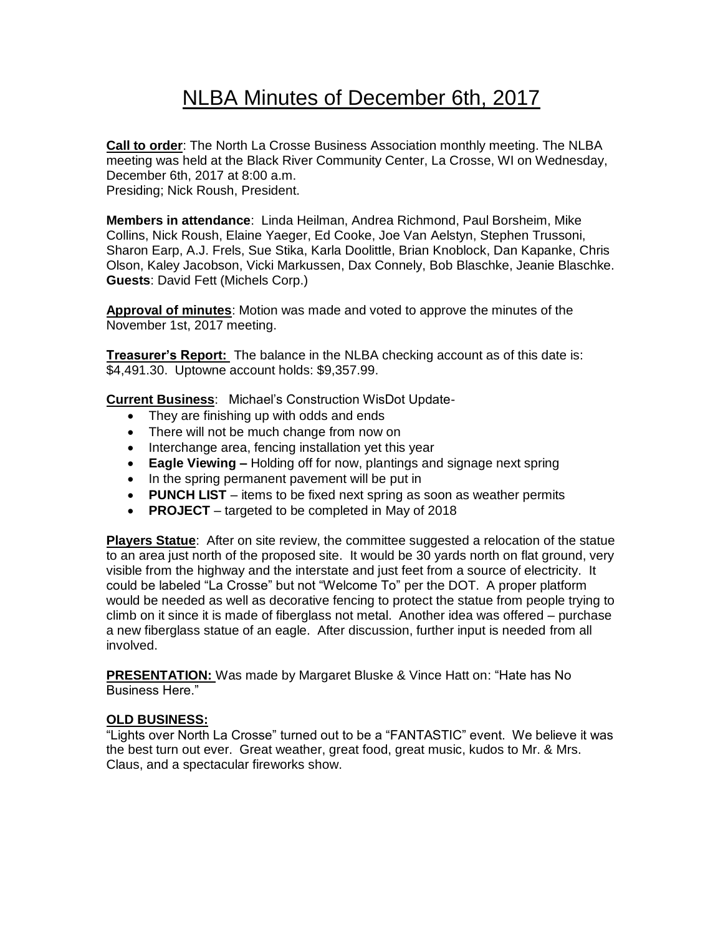# NLBA Minutes of December 6th, 2017

**Call to order**: The North La Crosse Business Association monthly meeting. The NLBA meeting was held at the Black River Community Center, La Crosse, WI on Wednesday, December 6th, 2017 at 8:00 a.m. Presiding; Nick Roush, President.

**Members in attendance**: Linda Heilman, Andrea Richmond, Paul Borsheim, Mike Collins, Nick Roush, Elaine Yaeger, Ed Cooke, Joe Van Aelstyn, Stephen Trussoni, Sharon Earp, A.J. Frels, Sue Stika, Karla Doolittle, Brian Knoblock, Dan Kapanke, Chris Olson, Kaley Jacobson, Vicki Markussen, Dax Connely, Bob Blaschke, Jeanie Blaschke. **Guests**: David Fett (Michels Corp.)

**Approval of minutes**: Motion was made and voted to approve the minutes of the November 1st, 2017 meeting.

**Treasurer's Report:** The balance in the NLBA checking account as of this date is: \$4,491.30. Uptowne account holds: \$9,357.99.

**Current Business**: Michael's Construction WisDot Update-

- They are finishing up with odds and ends
- There will not be much change from now on
- Interchange area, fencing installation yet this year
- **Eagle Viewing –** Holding off for now, plantings and signage next spring
- In the spring permanent pavement will be put in
- **PUNCH LIST** items to be fixed next spring as soon as weather permits
- **PROJECT** targeted to be completed in May of 2018

**Players Statue**: After on site review, the committee suggested a relocation of the statue to an area just north of the proposed site. It would be 30 yards north on flat ground, very visible from the highway and the interstate and just feet from a source of electricity. It could be labeled "La Crosse" but not "Welcome To" per the DOT. A proper platform would be needed as well as decorative fencing to protect the statue from people trying to climb on it since it is made of fiberglass not metal. Another idea was offered – purchase a new fiberglass statue of an eagle. After discussion, further input is needed from all involved.

**PRESENTATION:** Was made by Margaret Bluske & Vince Hatt on: "Hate has No Business Here."

#### **OLD BUSINESS:**

"Lights over North La Crosse" turned out to be a "FANTASTIC" event. We believe it was the best turn out ever. Great weather, great food, great music, kudos to Mr. & Mrs. Claus, and a spectacular fireworks show.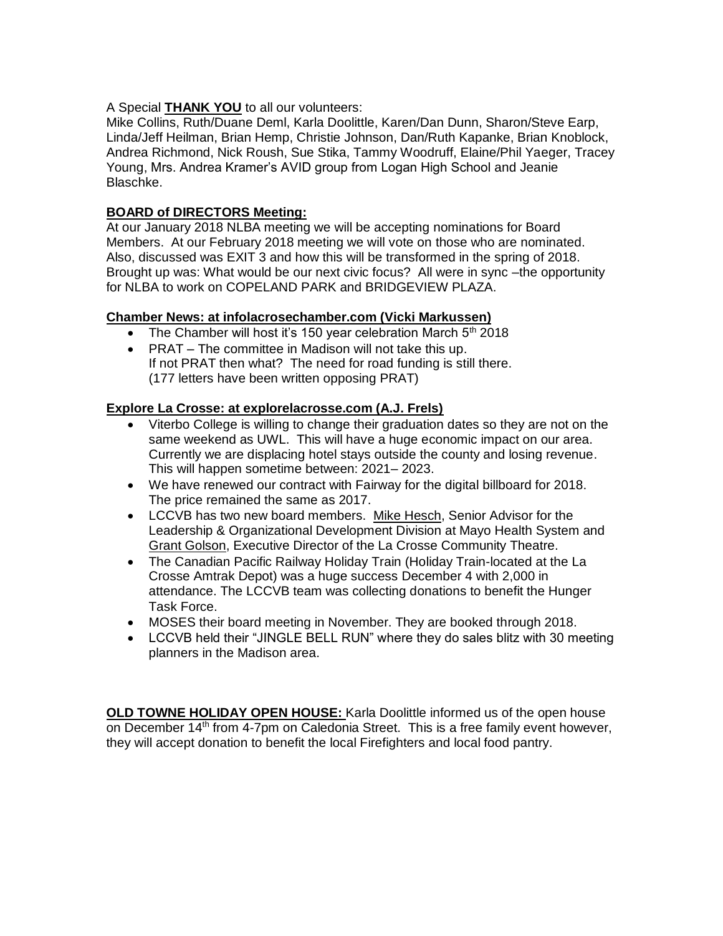### A Special **THANK YOU** to all our volunteers:

Mike Collins, Ruth/Duane Deml, Karla Doolittle, Karen/Dan Dunn, Sharon/Steve Earp, Linda/Jeff Heilman, Brian Hemp, Christie Johnson, Dan/Ruth Kapanke, Brian Knoblock, Andrea Richmond, Nick Roush, Sue Stika, Tammy Woodruff, Elaine/Phil Yaeger, Tracey Young, Mrs. Andrea Kramer's AVID group from Logan High School and Jeanie Blaschke.

#### **BOARD of DIRECTORS Meeting:**

At our January 2018 NLBA meeting we will be accepting nominations for Board Members. At our February 2018 meeting we will vote on those who are nominated. Also, discussed was EXIT 3 and how this will be transformed in the spring of 2018. Brought up was: What would be our next civic focus? All were in sync -the opportunity for NLBA to work on COPELAND PARK and BRIDGEVIEW PLAZA.

### **Chamber News: at infolacrosechamber.com (Vicki Markussen)**

- The Chamber will host it's 150 year celebration March  $5<sup>th</sup>$  2018
- PRAT The committee in Madison will not take this up. If not PRAT then what? The need for road funding is still there. (177 letters have been written opposing PRAT)

## **Explore La Crosse: at explorelacrosse.com (A.J. Frels)**

- Viterbo College is willing to change their graduation dates so they are not on the same weekend as UWL. This will have a huge economic impact on our area. Currently we are displacing hotel stays outside the county and losing revenue. This will happen sometime between: 2021– 2023.
- We have renewed our contract with Fairway for the digital billboard for 2018. The price remained the same as 2017.
- LCCVB has two new board members. Mike Hesch, Senior Advisor for the Leadership & Organizational Development Division at Mayo Health System and Grant Golson, Executive Director of the La Crosse Community Theatre.
- The Canadian Pacific Railway Holiday Train (Holiday Train-located at the La Crosse Amtrak Depot) was a huge success December 4 with 2,000 in attendance. The LCCVB team was collecting donations to benefit the Hunger Task Force.
- MOSES their board meeting in November. They are booked through 2018.
- LCCVB held their "JINGLE BELL RUN" where they do sales blitz with 30 meeting planners in the Madison area.

**OLD TOWNE HOLIDAY OPEN HOUSE:** Karla Doolittle informed us of the open house on December 14<sup>th</sup> from 4-7pm on Caledonia Street. This is a free family event however, they will accept donation to benefit the local Firefighters and local food pantry.